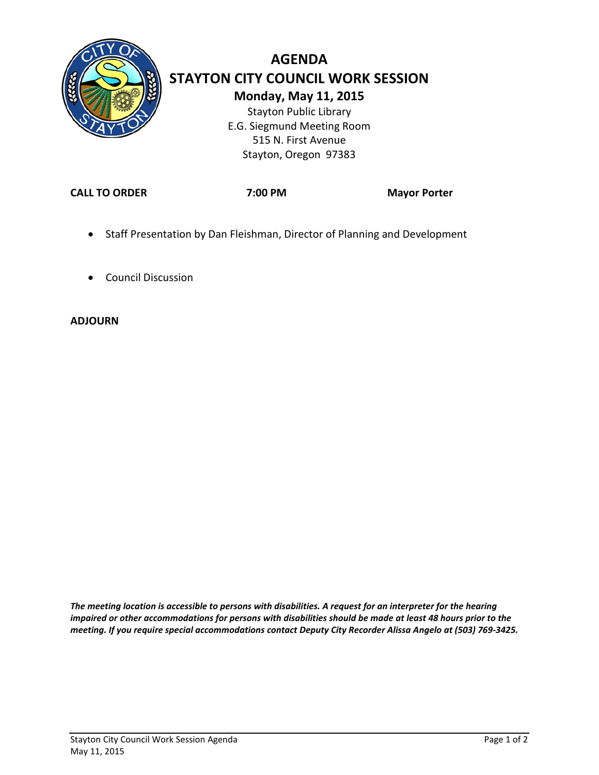

## **AGENDA STAYTON CITY COUNCIL WORK SESSION Monday, May 11, 2015** Stayton Public Library E.G. Siegmund Meeting Room

515 N. First Avenue Stayton, Oregon 97383

**CALL TO ORDER 7:00 PM Mayor Porter**

- Staff Presentation by Dan Fleishman, Director of Planning and Development
- Council Discussion

#### **ADJOURN**

*The meeting location is accessible to persons with disabilities. A request for an interpreter for the hearing impaired or other accommodations for persons with disabilities should be made at least 48 hours prior to the meeting. If you require special accommodations contact Deputy City Recorder Alissa Angelo at (503) 769-3425.*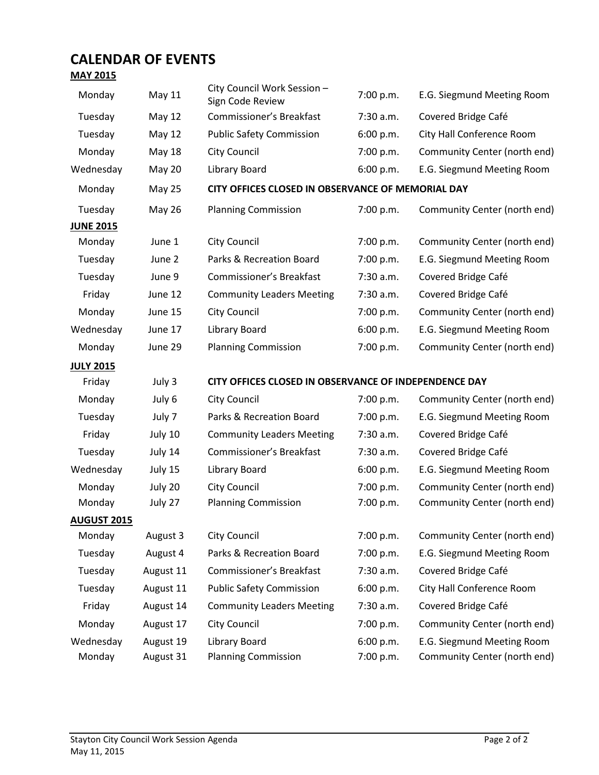## **CALENDAR OF EVENTS**

## **MAY 2015**

| . <del>.</del>     |               |                                                              |                                           |                              |  |  |  |
|--------------------|---------------|--------------------------------------------------------------|-------------------------------------------|------------------------------|--|--|--|
| Monday             | May 11        | City Council Work Session -<br>7:00 p.m.<br>Sign Code Review |                                           | E.G. Siegmund Meeting Room   |  |  |  |
| Tuesday            | May 12        | Commissioner's Breakfast                                     | 7:30 a.m.                                 | Covered Bridge Café          |  |  |  |
| Tuesday            | May 12        | <b>Public Safety Commission</b>                              | 6:00 p.m.                                 | City Hall Conference Room    |  |  |  |
| Monday             | May 18        | City Council                                                 | 7:00 p.m.                                 | Community Center (north end) |  |  |  |
| Wednesday          | <b>May 20</b> | Library Board                                                | 6:00 p.m.                                 | E.G. Siegmund Meeting Room   |  |  |  |
| Monday             | May 25        | CITY OFFICES CLOSED IN OBSERVANCE OF MEMORIAL DAY            |                                           |                              |  |  |  |
| Tuesday            | <b>May 26</b> | <b>Planning Commission</b>                                   | 7:00 p.m.                                 | Community Center (north end) |  |  |  |
| <b>JUNE 2015</b>   |               |                                                              |                                           |                              |  |  |  |
| Monday             | June 1        | <b>City Council</b>                                          | 7:00 p.m.<br>Community Center (north end) |                              |  |  |  |
| Tuesday            | June 2        | Parks & Recreation Board                                     | 7:00 p.m.                                 | E.G. Siegmund Meeting Room   |  |  |  |
| Tuesday            | June 9        | Commissioner's Breakfast                                     | 7:30 a.m.                                 | Covered Bridge Café          |  |  |  |
| Friday             | June 12       | <b>Community Leaders Meeting</b>                             | 7:30 a.m.                                 | Covered Bridge Café          |  |  |  |
| Monday             | June 15       | <b>City Council</b>                                          | 7:00 p.m.                                 | Community Center (north end) |  |  |  |
| Wednesday          | June 17       | Library Board                                                | 6:00 p.m.                                 | E.G. Siegmund Meeting Room   |  |  |  |
| Monday             | June 29       | <b>Planning Commission</b><br>7:00 p.m.                      |                                           | Community Center (north end) |  |  |  |
|                    |               |                                                              |                                           |                              |  |  |  |
| <b>JULY 2015</b>   |               |                                                              |                                           |                              |  |  |  |
| Friday             | July 3        | CITY OFFICES CLOSED IN OBSERVANCE OF INDEPENDENCE DAY        |                                           |                              |  |  |  |
| Monday             | July 6        | <b>City Council</b>                                          | 7:00 p.m.                                 | Community Center (north end) |  |  |  |
| Tuesday            | July 7        | Parks & Recreation Board                                     | 7:00 p.m.                                 | E.G. Siegmund Meeting Room   |  |  |  |
| Friday             | July 10       | <b>Community Leaders Meeting</b>                             | 7:30 a.m.                                 | Covered Bridge Café          |  |  |  |
| Tuesday            | July 14       | Commissioner's Breakfast                                     | 7:30 a.m.                                 | Covered Bridge Café          |  |  |  |
| Wednesday          | July 15       | Library Board                                                | 6:00 p.m.                                 | E.G. Siegmund Meeting Room   |  |  |  |
| Monday             | July 20       | City Council                                                 | 7:00 p.m.                                 | Community Center (north end) |  |  |  |
| Monday             | July 27       | <b>Planning Commission</b>                                   | 7:00 p.m.                                 | Community Center (north end) |  |  |  |
| <b>AUGUST 2015</b> |               |                                                              |                                           |                              |  |  |  |
| Monday             | August 3      | <b>City Council</b>                                          | 7:00 p.m.                                 | Community Center (north end) |  |  |  |
| Tuesday            | August 4      | Parks & Recreation Board                                     | 7:00 p.m.                                 | E.G. Siegmund Meeting Room   |  |  |  |
| Tuesday            | August 11     | Commissioner's Breakfast                                     | 7:30 a.m.                                 | Covered Bridge Café          |  |  |  |
| Tuesday            | August 11     | <b>Public Safety Commission</b>                              | 6:00 p.m.                                 | City Hall Conference Room    |  |  |  |
| Friday             | August 14     | <b>Community Leaders Meeting</b>                             | 7:30 a.m.                                 | Covered Bridge Café          |  |  |  |
| Monday             | August 17     | <b>City Council</b>                                          | 7:00 p.m.                                 | Community Center (north end) |  |  |  |
| Wednesday          | August 19     | Library Board                                                | 6:00 p.m.                                 | E.G. Siegmund Meeting Room   |  |  |  |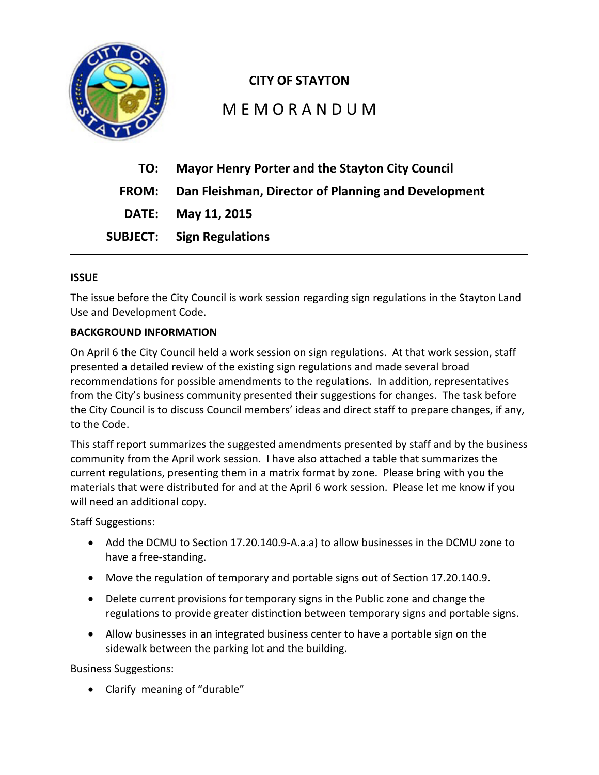

## **CITY OF STAYTON**

## M E M O R A N D U M

| TO: | <b>Mayor Henry Porter and the Stayton City Council</b>    |
|-----|-----------------------------------------------------------|
|     | FROM: Dan Fleishman, Director of Planning and Development |
|     | DATE: May 11, 2015                                        |
|     | <b>SUBJECT:</b> Sign Regulations                          |

#### **ISSUE**

The issue before the City Council is work session regarding sign regulations in the Stayton Land Use and Development Code.

#### **BACKGROUND INFORMATION**

On April 6 the City Council held a work session on sign regulations. At that work session, staff presented a detailed review of the existing sign regulations and made several broad recommendations for possible amendments to the regulations. In addition, representatives from the City's business community presented their suggestions for changes. The task before the City Council is to discuss Council members' ideas and direct staff to prepare changes, if any, to the Code.

This staff report summarizes the suggested amendments presented by staff and by the business community from the April work session. I have also attached a table that summarizes the current regulations, presenting them in a matrix format by zone. Please bring with you the materials that were distributed for and at the April 6 work session. Please let me know if you will need an additional copy.

Staff Suggestions:

- Add the DCMU to Section 17.20.140.9-A.a.a) to allow businesses in the DCMU zone to have a free-standing.
- Move the regulation of temporary and portable signs out of Section 17.20.140.9.
- Delete current provisions for temporary signs in the Public zone and change the regulations to provide greater distinction between temporary signs and portable signs.
- Allow businesses in an integrated business center to have a portable sign on the sidewalk between the parking lot and the building.

Business Suggestions:

• Clarify meaning of "durable"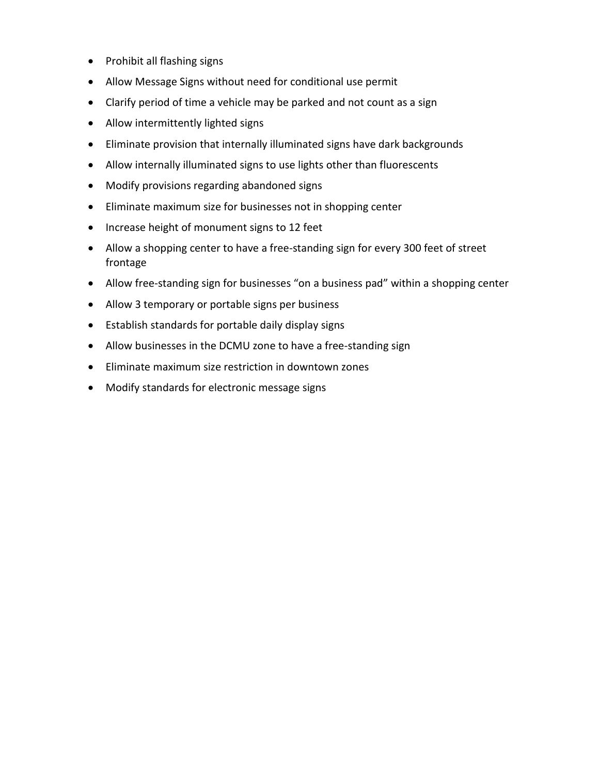- Prohibit all flashing signs
- Allow Message Signs without need for conditional use permit
- Clarify period of time a vehicle may be parked and not count as a sign
- Allow intermittently lighted signs
- Eliminate provision that internally illuminated signs have dark backgrounds
- Allow internally illuminated signs to use lights other than fluorescents
- Modify provisions regarding abandoned signs
- Eliminate maximum size for businesses not in shopping center
- Increase height of monument signs to 12 feet
- Allow a shopping center to have a free-standing sign for every 300 feet of street frontage
- Allow free-standing sign for businesses "on a business pad" within a shopping center
- Allow 3 temporary or portable signs per business
- Establish standards for portable daily display signs
- Allow businesses in the DCMU zone to have a free-standing sign
- Eliminate maximum size restriction in downtown zones
- Modify standards for electronic message signs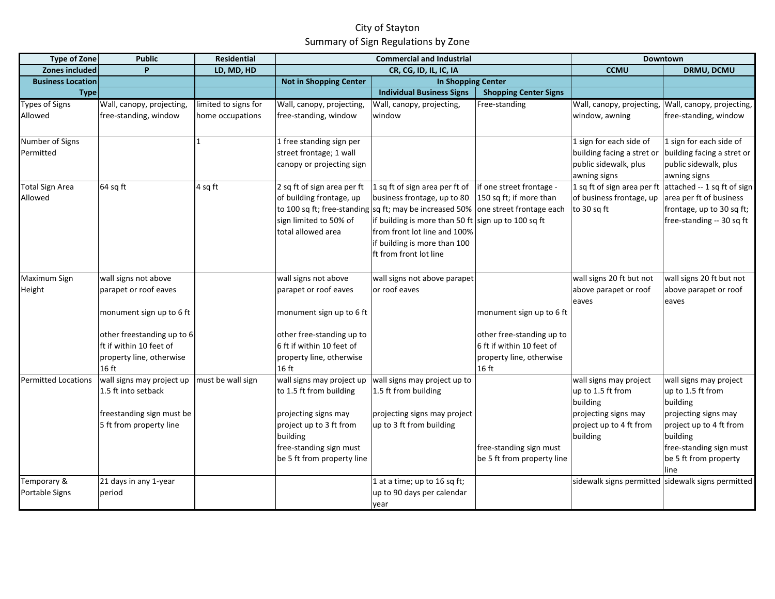### City of Stayton Summary of Sign Regulations by Zone

| <b>Type of Zone</b>        | <b>Public</b>              | Residential          | <b>Commercial and Industrial</b> |                                                         | Downtown                     |                             |                                                   |
|----------------------------|----------------------------|----------------------|----------------------------------|---------------------------------------------------------|------------------------------|-----------------------------|---------------------------------------------------|
| Zones included             | P                          | LD, MD, HD           |                                  | CR, CG, ID, IL, IC, IA                                  |                              | <b>CCMU</b>                 | DRMU, DCMU                                        |
| <b>Business Location</b>   |                            |                      | <b>Not in Shopping Center</b>    | <b>In Shopping Center</b>                               |                              |                             |                                                   |
| <b>Type</b>                |                            |                      |                                  | <b>Individual Business Signs</b>                        | <b>Shopping Center Signs</b> |                             |                                                   |
| <b>Types of Signs</b>      | Wall, canopy, projecting,  | limited to signs for | Wall, canopy, projecting         | Wall, canopy, projecting,                               | Free-standing                | Wall, canopy, projecting,   | Wall, canopy, projecting,                         |
| Allowed                    | free-standing, window      | home occupations     | free-standing, window            | window                                                  |                              | window, awning              | free-standing, window                             |
|                            |                            |                      |                                  |                                                         |                              |                             |                                                   |
| Number of Signs            |                            | 1                    | 1 free standing sign per         |                                                         |                              | 1 sign for each side of     | 1 sign for each side of                           |
| Permitted                  |                            |                      | street frontage; 1 wall          |                                                         |                              | building facing a stret or  | building facing a stret or                        |
|                            |                            |                      | canopy or projecting sign        |                                                         |                              | public sidewalk, plus       | public sidewalk, plus                             |
|                            |                            |                      |                                  |                                                         |                              | awning signs                | awning signs                                      |
| <b>Total Sign Area</b>     | 64 sq ft                   | 4 sq ft              | 2 sq ft of sign area per ft      | 1 sq ft of sign area per ft of                          | if one street frontage -     | 1 sq ft of sign area per ft | attached -- 1 sq ft of sign                       |
| Allowed                    |                            |                      | of building frontage, up         | business frontage, up to 80                             | 150 sq ft; if more than      | of business frontage, up    | area per ft of business                           |
|                            |                            |                      |                                  | to 100 sq ft; free-standing sq ft; may be increased 50% | one street frontage each     | to 30 sq ft                 | frontage, up to 30 sq ft;                         |
|                            |                            |                      | sign limited to 50% of           | if building is more than 50 ft                          | sign up to 100 sq ft         |                             | free-standing -- 30 sq ft                         |
|                            |                            |                      | total allowed area               | from front lot line and 100%                            |                              |                             |                                                   |
|                            |                            |                      |                                  | if building is more than 100                            |                              |                             |                                                   |
|                            |                            |                      |                                  | ft from front lot line                                  |                              |                             |                                                   |
|                            |                            |                      |                                  |                                                         |                              |                             |                                                   |
| Maximum Sign               | wall signs not above       |                      | wall signs not above             | wall signs not above parapet                            |                              | wall signs 20 ft but not    | wall signs 20 ft but not                          |
| Height                     | parapet or roof eaves      |                      | parapet or roof eaves            | or roof eaves                                           |                              | above parapet or roof       | above parapet or roof                             |
|                            |                            |                      |                                  |                                                         |                              | eaves                       | eaves                                             |
|                            | monument sign up to 6 ft   |                      | monument sign up to 6 ft         |                                                         | monument sign up to 6 ft     |                             |                                                   |
|                            |                            |                      |                                  |                                                         |                              |                             |                                                   |
|                            | other freestanding up to 6 |                      | other free-standing up to        |                                                         | other free-standing up to    |                             |                                                   |
|                            | ft if within 10 feet of    |                      | 6 ft if within 10 feet of        |                                                         | 6 ft if within 10 feet of    |                             |                                                   |
|                            | property line, otherwise   |                      | property line, otherwise         |                                                         | property line, otherwise     |                             |                                                   |
|                            | 16 ft                      |                      | 16 ft                            |                                                         | 16 ft                        |                             |                                                   |
| <b>Permitted Locations</b> | wall signs may project up  | must be wall sign    | wall signs may project up        | wall signs may project up to                            |                              | wall signs may project      | wall signs may project                            |
|                            | 1.5 ft into setback        |                      | to 1.5 ft from building          | 1.5 ft from building                                    |                              | up to 1.5 ft from           | up to 1.5 ft from                                 |
|                            |                            |                      |                                  |                                                         |                              | building                    | building                                          |
|                            | freestanding sign must be  |                      | projecting signs may             | projecting signs may project                            |                              | projecting signs may        | projecting signs may                              |
|                            | 5 ft from property line    |                      | project up to 3 ft from          | up to 3 ft from building                                |                              | project up to 4 ft from     | project up to 4 ft from                           |
|                            |                            |                      | building                         |                                                         |                              | building                    | building                                          |
|                            |                            |                      | free-standing sign must          |                                                         | free-standing sign must      |                             | free-standing sign must                           |
|                            |                            |                      | be 5 ft from property line       |                                                         | be 5 ft from property line   |                             | be 5 ft from property                             |
|                            |                            |                      |                                  |                                                         |                              |                             | line                                              |
| Temporary &                | 21 days in any 1-year      |                      |                                  | 1 at a time; up to 16 sq ft;                            |                              |                             | sidewalk signs permitted sidewalk signs permitted |
| Portable Signs             | period                     |                      |                                  | up to 90 days per calendar                              |                              |                             |                                                   |
|                            |                            |                      |                                  | year                                                    |                              |                             |                                                   |